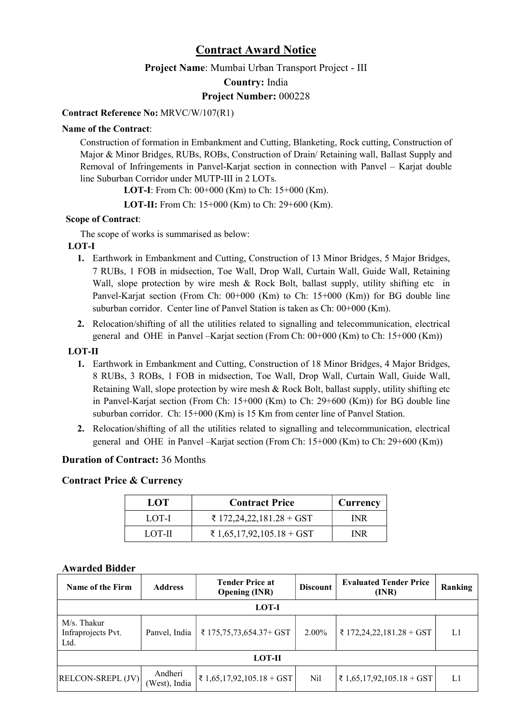### Contract Award Notice

Project Name: Mumbai Urban Transport Project - III

Country: India

#### Project Number: 000228

#### Contract Reference No: MRVC/W/107(R1)

#### Name of the Contract:

Construction of formation in Embankment and Cutting, Blanketing, Rock cutting, Construction of Major & Minor Bridges, RUBs, ROBs, Construction of Drain/ Retaining wall, Ballast Supply and Removal of Infringements in Panvel-Karjat section in connection with Panvel – Karjat double line Suburban Corridor under MUTP-III in 2 LOTs.

LOT-I: From Ch: 00+000 (Km) to Ch: 15+000 (Km).

LOT-II: From Ch: 15+000 (Km) to Ch: 29+600 (Km).

#### Scope of Contract:

The scope of works is summarised as below:

#### LOT-I

- 1. Earthwork in Embankment and Cutting, Construction of 13 Minor Bridges, 5 Major Bridges, 7 RUBs, 1 FOB in midsection, Toe Wall, Drop Wall, Curtain Wall, Guide Wall, Retaining Wall, slope protection by wire mesh  $\&$  Rock Bolt, ballast supply, utility shifting etc in Panvel-Karjat section (From Ch: 00+000 (Km) to Ch: 15+000 (Km)) for BG double line suburban corridor. Center line of Panvel Station is taken as Ch: 00+000 (Km).
- 2. Relocation/shifting of all the utilities related to signalling and telecommunication, electrical general and OHE in Panvel –Karjat section (From Ch:  $00+000$  (Km) to Ch: 15+000 (Km))

#### LOT-II

- 1. Earthwork in Embankment and Cutting, Construction of 18 Minor Bridges, 4 Major Bridges, 8 RUBs, 3 ROBs, 1 FOB in midsection, Toe Wall, Drop Wall, Curtain Wall, Guide Wall, Retaining Wall, slope protection by wire mesh & Rock Bolt, ballast supply, utility shifting etc in Panvel-Karjat section (From Ch: 15+000 (Km) to Ch: 29+600 (Km)) for BG double line suburban corridor. Ch: 15+000 (Km) is 15 Km from center line of Panvel Station.
- 2. Relocation/shifting of all the utilities related to signalling and telecommunication, electrical general and OHE in Panvel –Karjat section (From Ch: 15+000 (Km) to Ch: 29+600 (Km))

#### Duration of Contract: 36 Months

#### Contract Price & Currency

| LOT    | <b>Contract Price</b>     | Currency |
|--------|---------------------------|----------|
| LOT-I  | ₹ 172,24,22,181.28 + GST  | INR      |
| LOT-II | ₹ 1,65,17,92,105.18 + GST | INR      |

#### Awarded Bidder

| Name of the Firm                          | <b>Address</b>           | <b>Tender Price at</b><br><b>Opening (INR)</b> | <b>Discount</b> | <b>Evaluated Tender Price</b><br>(INR) | Ranking |  |  |
|-------------------------------------------|--------------------------|------------------------------------------------|-----------------|----------------------------------------|---------|--|--|
| LOT-I                                     |                          |                                                |                 |                                        |         |  |  |
| M/s. Thakur<br>Infraprojects Pvt.<br>Ltd. | Panvel, India            | ₹ 175,75,73,654.37+ GST                        | $2.00\%$        | ₹ 172,24,22,181.28 + GST               | L1      |  |  |
| <b>LOT-II</b>                             |                          |                                                |                 |                                        |         |  |  |
| RELCON-SREPL (JV)                         | Andheri<br>(West), India | ₹ 1,65,17,92,105.18 + GST                      | Nil             | ₹ 1,65,17,92,105.18 + GST              | L1      |  |  |